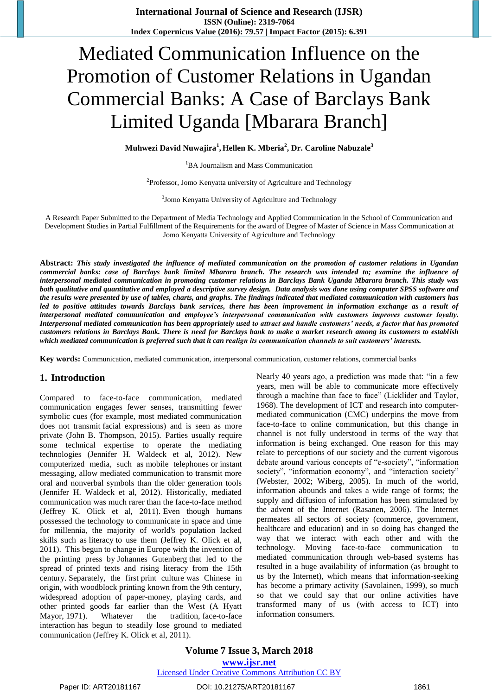**International Journal of Science and Research (IJSR) ISSN (Online): 2319-7064 Index Copernicus Value (2016): 79.57 | Impact Factor (2015): 6.391**

# Mediated Communication Influence on the Promotion of Customer Relations in Ugandan Commercial Banks: A Case of Barclays Bank Limited Uganda [Mbarara Branch]

**Muhwezi David Nuwajira<sup>1</sup> , Hellen K. Mberia<sup>2</sup> , Dr. Caroline Nabuzale<sup>3</sup>**

<sup>1</sup>BA Journalism and Mass Communication

 $2P$ rofessor, Jomo Kenyatta university of Agriculture and Technology

<sup>3</sup>Jomo Kenyatta University of Agriculture and Technology

A Research Paper Submitted to the Department of Media Technology and Applied Communication in the School of Communication and Development Studies in Partial Fulfillment of the Requirements for the award of Degree of Master of Science in Mass Communication at Jomo Kenyatta University of Agriculture and Technology

**Abstract:** *This study investigated the influence of mediated communication on the promotion of customer relations in Ugandan commercial banks: case of Barclays bank limited Mbarara branch. The research was intended to; examine the influence of interpersonal mediated communication in promoting customer relations in Barclays Bank Uganda Mbarara branch. This study was both qualitative and quantitative and employed a descriptive survey design. Data analysis was done using computer SPSS software and the results were presented by use of tables, charts, and graphs. The findings indicated that mediated communication with customers has led to positive attitudes towards Barclays bank services, there has been improvement in information exchange as a result of interpersonal mediated communication and employee's interpersonal communication with customers improves customer loyalty. Interpersonal mediated communication has been appropriately used to attract and handle customers' needs, a factor that has promoted customers relations in Barclays Bank. There is need for Barclays bank to make a market research among its customers to establish which mediated communication is preferred such that it can realign its communication channels to suit customers' interests.*

**Key words:** Communication, mediated communication, interpersonal communication, customer relations, commercial banks

#### **1. Introduction**

Compared to face-to-face communication, mediated communication engages fewer senses, transmitting fewer symbolic cues (for example, most mediated communication does not transmit facial expressions) and is seen as more private (John B. Thompson, 2015). Parties usually require some technical expertise to operate the mediating technologies (Jennifer H. Waldeck et al, 2012). New computerized media, such as mobile telephones or instant messaging, allow mediated communication to transmit more oral and nonverbal symbols than the older generation tools (Jennifer H. Waldeck et al, 2012). Historically, mediated communication was much rarer than the face-to-face method (Jeffrey K. Olick et al, 2011). Even though humans possessed the technology to communicate in space and time for millennia, the majority of world's population lacked skills such as literacy to use them (Jeffrey K. Olick et al, 2011). This begun to change in Europe with the invention of the printing press by Johannes Gutenberg that led to the spread of printed texts and rising literacy from the 15th century. Separately, the first print culture was Chinese in origin, with woodblock printing known from the 9th century, widespread adoption of paper-money, playing cards, and other printed goods far earlier than the West (A Hyatt Mayor, 1971). Whatever the tradition, face-to-face interaction has begun to steadily lose ground to mediated communication (Jeffrey K. Olick et al, 2011).

Nearly 40 years ago, a prediction was made that: "in a few years, men will be able to communicate more effectively through a machine than face to face" (Licklider and Taylor, 1968). The development of ICT and research into computermediated communication (CMC) underpins the move from face-to-face to online communication, but this change in channel is not fully understood in terms of the way that information is being exchanged. One reason for this may relate to perceptions of our society and the current vigorous debate around various concepts of "e-society", "information society", "information economy", and "interaction society" (Webster, 2002; Wiberg, 2005). In much of the world, information abounds and takes a wide range of forms; the supply and diffusion of information has been stimulated by the advent of the Internet (Rasanen, 2006). The Internet permeates all sectors of society (commerce, government, healthcare and education) and in so doing has changed the way that we interact with each other and with the technology. Moving face-to-face communication to mediated communication through web-based systems has resulted in a huge availability of information (as brought to us by the Internet), which means that information-seeking has become a primary activity (Savolainen, 1999), so much so that we could say that our online activities have transformed many of us (with access to ICT) into information consumers.

**Volume 7 Issue 3, March 2018 <www.ijsr.net>** [Licensed Under Creative Commons Attribution CC BY](http://creativecommons.org/licenses/by/4.0/)

Paper ID: ART20181167 DOI: 10.21275/ART20181167 1861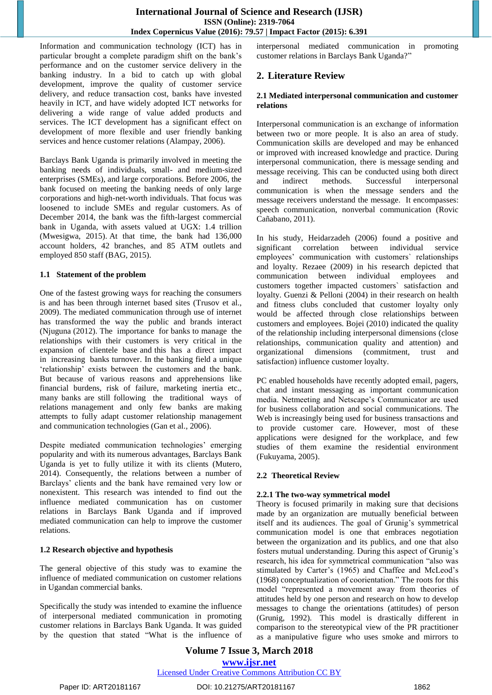Information and communication technology (ICT) has in particular brought a complete paradigm shift on the bank"s performance and on the customer service delivery in the banking industry. In a bid to catch up with global development, improve the quality of customer service delivery, and reduce transaction cost, banks have invested heavily in ICT, and have widely adopted ICT networks for delivering a wide range of value added products and services. The ICT development has a significant effect on development of more flexible and user friendly banking services and hence customer relations (Alampay, 2006).

Barclays Bank Uganda is primarily involved in meeting the banking needs of individuals, small- and medium-sized enterprises (SMEs), and large corporations. Before 2006, the bank focused on meeting the banking needs of only large corporations and high-net-worth individuals. That focus was loosened to include SMEs and regular customers. As of December 2014, the bank was the fifth-largest commercial bank in Uganda, with assets valued at UGX: 1.4 trillion (Mwesigwa, 2015). At that time, the bank had 136,000 account holders, 42 branches, and 85 ATM outlets and employed 850 staff (BAG, 2015).

#### **1.1 Statement of the problem**

One of the fastest growing ways for reaching the consumers is and has been through internet based sites (Trusov et al., 2009). The mediated communication through use of internet has transformed the way the public and brands interact (Njuguna (2012). The importance for banks to manage the relationships with their customers is very critical in the expansion of clientele base and this has a direct impact in increasing banks turnover. In the banking field a unique 'relationship' exists between the customers and the bank. But because of various reasons and apprehensions like financial burdens, risk of failure, marketing inertia etc., many banks are still following the traditional ways of relations management and only few banks are making attempts to fully adapt customer relationship management and communication technologies (Gan et al., 2006).

Despite mediated communication technologies' emerging popularity and with its numerous advantages, Barclays Bank Uganda is yet to fully utilize it with its clients (Mutero, 2014). Consequently, the relations between a number of Barclays" clients and the bank have remained very low or nonexistent. This research was intended to find out the influence mediated communication has on customer relations in Barclays Bank Uganda and if improved mediated communication can help to improve the customer relations.

## **1.2 Research objective and hypothesis**

The general objective of this study was to examine the influence of mediated communication on customer relations in Ugandan commercial banks.

Specifically the study was intended to examine the influence of interpersonal mediated communication in promoting customer relations in Barclays Bank Uganda. It was guided by the question that stated "What is the influence of interpersonal mediated communication in promoting customer relations in Barclays Bank Uganda?"

# **2. Literature Review**

#### **2.1 Mediated interpersonal communication and customer relations**

Interpersonal communication is an exchange of information between two or more people. It is also an area of study. Communication skills are developed and may be enhanced or improved with increased knowledge and practice. During interpersonal communication, there is message sending and message receiving. This can be conducted using both direct and indirect methods. Successful interpersonal communication is when the message senders and the message receivers understand the message. It encompasses: speech communication, nonverbal communication (Rovic Cañabano, 2011).

In his study, Heidarzadeh (2006) found a positive and significant correlation between individual service employees" communication with customers` relationships and loyalty. Rezaee (2009) in his research depicted that communication between individual employees and customers together impacted customers` satisfaction and loyalty. Guenzi & Pelloni (2004) in their research on health and fitness clubs concluded that customer loyalty only would be affected through close relationships between customers and employees. Bojei (2010) indicated the quality of the relationship including interpersonal dimensions (close relationships, communication quality and attention) and organizational dimensions (commitment, trust and satisfaction) influence customer loyalty.

PC enabled households have recently adopted email, pagers, chat and instant messaging as important communication media. Netmeeting and Netscape's Communicator are used for business collaboration and social communications. The Web is increasingly being used for business transactions and to provide customer care. However, most of these applications were designed for the workplace, and few studies of them examine the residential environment (Fukuyama, 2005).

## **2.2 Theoretical Review**

## **2.2.1 The two-way symmetrical model**

Theory is focused primarily in making sure that decisions made by an organization are mutually beneficial between itself and its audiences. The goal of Grunig's symmetrical communication model is one that embraces negotiation between the organization and its publics, and one that also fosters mutual understanding. During this aspect of Grunig"s research, his idea for symmetrical communication "also was stimulated by Carter's (1965) and Chaffee and McLeod's (1968) conceptualization of coorientation." The roots for this model "represented a movement away from theories of attitudes held by one person and research on how to develop messages to change the orientations (attitudes) of person (Grunig, 1992). This model is drastically different in comparison to the stereotypical view of the PR practitioner as a manipulative figure who uses smoke and mirrors to

**Volume 7 Issue 3, March 2018 <www.ijsr.net>** [Licensed Under Creative Commons Attribution CC BY](http://creativecommons.org/licenses/by/4.0/)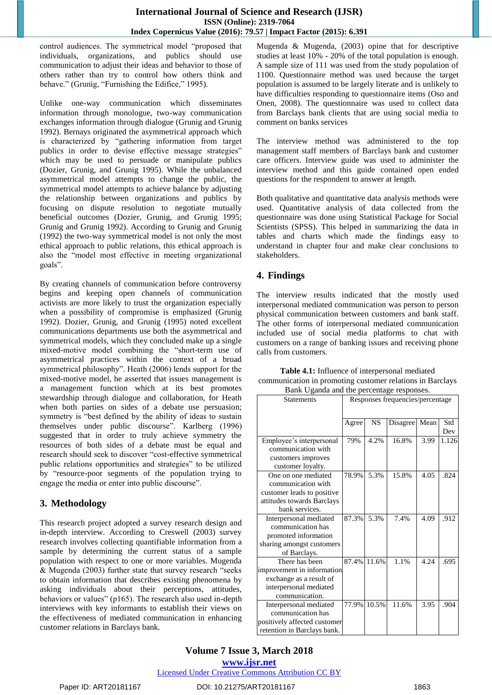control audiences. The symmetrical model "proposed that individuals, organizations, and publics should use communication to adjust their ideas and behavior to those of others rather than try to control how others think and behave." (Grunig, "Furnishing the Edifice," 1995).

Unlike one-way communication which disseminates information through monologue, two-way communication exchanges information through dialogue (Grunig and Grunig 1992). Bernays originated the asymmetrical approach which is characterized by "gathering information from target publics in order to devise effective message strategies" which may be used to persuade or manipulate publics (Dozier, Grunig, and Grunig 1995). While the unbalanced asymmetrical model attempts to change the public, the symmetrical model attempts to achieve balance by adjusting the relationship between organizations and publics by focusing on dispute resolution to negotiate mutually beneficial outcomes (Dozier, Grunig, and Grunig 1995; Grunig and Grunig 1992). According to Grunig and Grunig (1992) the two-way symmetrical model is not only the most ethical approach to public relations, this ethical approach is also the "model most effective in meeting organizational goals".

By creating channels of communication before controversy begins and keeping open channels of communication activists are more likely to trust the organization especially when a possibility of compromise is emphasized (Grunig 1992). Dozier, Grunig, and Grunig (1995) noted excellent communications departments use both the asymmetrical and symmetrical models, which they concluded make up a single mixed-motive model combining the "short-term use of asymmetrical practices within the context of a broad symmetrical philosophy". Heath (2006) lends support for the mixed-motive model, he asserted that issues management is a management function which at its best promotes stewardship through dialogue and collaboration, for Heath when both parties on sides of a debate use persuasion; symmetry is "best defined by the ability of ideas to sustain themselves under public discourse". Karlberg (1996) suggested that in order to truly achieve symmetry the resources of both sides of a debate must be equal and research should seek to discover "cost-effective symmetrical public relations opportunities and strategies" to be utilized by "resource-poor segments of the population trying to engage the media or enter into public discourse".

# **3. Methodology**

This research project adopted a survey research design and in-depth interview. According to Creswell (2003) survey research involves collecting quantifiable information from a sample by determining the current status of a sample population with respect to one or more variables. Mugenda & Mugenda (2003) further state that survey research "seeks to obtain information that describes existing phenomena by asking individuals about their perceptions, attitudes, behaviors or values" (p165). The research also used in-depth interviews with key informants to establish their views on the effectiveness of mediated communication in enhancing customer relations in Barclays bank.

Mugenda & Mugenda, (2003) opine that for descriptive studies at least 10% - 20% of the total population is enough. A sample size of 111 was used from the study population of 1100. Questionnaire method was used because the target population is assumed to be largely literate and is unlikely to have difficulties responding to questionnaire items (Oso and Onen, 2008). The questionnaire was used to collect data from Barclays bank clients that are using social media to comment on banks services

The interview method was administered to the top management staff members of Barclays bank and customer care officers. Interview guide was used to administer the interview method and this guide contained open ended questions for the respondent to answer at length.

Both qualitative and quantitative data analysis methods were used. Quantitative analysis of data collected from the questionnaire was done using Statistical Package for Social Scientists (SPSS). This helped in summarizing the data in tables and charts which made the findings easy to understand in chapter four and make clear conclusions to stakeholders.

# **4. Findings**

The interview results indicated that the mostly used interpersonal mediated communication was person to person physical communication between customers and bank staff. The other forms of interpersonal mediated communication included use of social media platforms to chat with customers on a range of banking issues and receiving phone calls from customers.

| <b>Statements</b>                                                                                                                            | Responses frequencies/percentage |           |          |      |            |
|----------------------------------------------------------------------------------------------------------------------------------------------|----------------------------------|-----------|----------|------|------------|
|                                                                                                                                              | Agree                            | <b>NS</b> | Disagree | Mean | Std<br>Dev |
| Employee's interpersonal<br>communication with<br>customers improves                                                                         | 79%                              | 4.2%      | 16.8%    | 3.99 | 1.126      |
| customer loyalty.<br>One on one mediated<br>communication with<br>customer leads to positive<br>attitudes towards Barclays<br>bank services. | 78.9%                            | 5.3%      | 15.8%    | 4.05 | .824       |
| Interpersonal mediated<br>communication has<br>promoted information<br>sharing amongst customers<br>of Barclays.                             | 87.3%                            | 5.3%      | 7.4%     | 4.09 | .912       |
| There has been<br>improvement in information<br>exchange as a result of<br>interpersonal mediated<br>communication.                          | 87.4%                            | 11.6%     | 1.1%     | 4.24 | .695       |
| Interpersonal mediated<br>communication has<br>positively affected customer<br>retention in Barclays bank.                                   | 77.9%                            | 10.5%     | 11.6%    | 3.95 | .904       |

**Table 4.1:** Influence of interpersonal mediated communication in promoting customer relations in Barclays Bank Uganda and the percentage responses.

[Licensed Under Creative Commons Attribution CC BY](http://creativecommons.org/licenses/by/4.0/)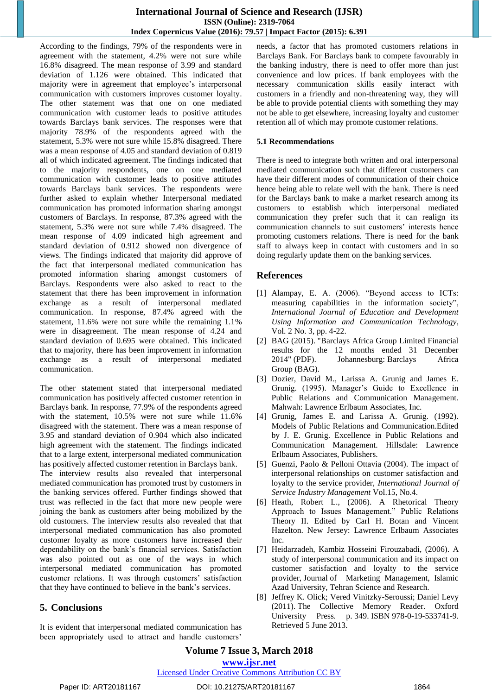## **International Journal of Science and Research (IJSR) ISSN (Online): 2319-7064 Index Copernicus Value (2016): 79.57 | Impact Factor (2015): 6.391**

According to the findings, 79% of the respondents were in agreement with the statement, 4.2% were not sure while 16.8% disagreed. The mean response of 3.99 and standard deviation of 1.126 were obtained. This indicated that majority were in agreement that employee's interpersonal communication with customers improves customer loyalty. The other statement was that one on one mediated communication with customer leads to positive attitudes towards Barclays bank services. The responses were that majority 78.9% of the respondents agreed with the statement, 5.3% were not sure while 15.8% disagreed. There was a mean response of 4.05 and standard deviation of 0.819 all of which indicated agreement. The findings indicated that to the majority respondents, one on one mediated communication with customer leads to positive attitudes towards Barclays bank services. The respondents were further asked to explain whether Interpersonal mediated communication has promoted information sharing amongst customers of Barclays. In response, 87.3% agreed with the statement, 5.3% were not sure while 7.4% disagreed. The mean response of 4.09 indicated high agreement and standard deviation of 0.912 showed non divergence of views. The findings indicated that majority did approve of the fact that interpersonal mediated communication has promoted information sharing amongst customers of Barclays. Respondents were also asked to react to the statement that there has been improvement in information exchange as a result of interpersonal mediated communication. In response, 87.4% agreed with the statement, 11.6% were not sure while the remaining 1.1% were in disagreement. The mean response of 4.24 and standard deviation of 0.695 were obtained. This indicated that to majority, there has been improvement in information exchange as a result of interpersonal mediated communication.

The other statement stated that interpersonal mediated communication has positively affected customer retention in Barclays bank. In response, 77.9% of the respondents agreed with the statement, 10.5% were not sure while 11.6% disagreed with the statement. There was a mean response of 3.95 and standard deviation of 0.904 which also indicated high agreement with the statement. The findings indicated that to a large extent, interpersonal mediated communication has positively affected customer retention in Barclays bank. The interview results also revealed that interpersonal mediated communication has promoted trust by customers in the banking services offered. Further findings showed that trust was reflected in the fact that more new people were joining the bank as customers after being mobilized by the old customers. The interview results also revealed that that interpersonal mediated communication has also promoted customer loyalty as more customers have increased their dependability on the bank"s financial services. Satisfaction was also pointed out as one of the ways in which interpersonal mediated communication has promoted customer relations. It was through customers' satisfaction that they have continued to believe in the bank"s services.

## **5. Conclusions**

It is evident that interpersonal mediated communication has been appropriately used to attract and handle customers'

needs, a factor that has promoted customers relations in Barclays Bank. For Barclays bank to compete favourably in the banking industry, there is need to offer more than just convenience and low prices. If bank employees with the necessary communication skills easily interact with customers in a friendly and non-threatening way, they will be able to provide potential clients with something they may not be able to get elsewhere, increasing loyalty and customer retention all of which may promote customer relations.

#### **5.1 Recommendations**

There is need to integrate both written and oral interpersonal mediated communication such that different customers can have their different modes of communication of their choice hence being able to relate well with the bank. There is need for the Barclays bank to make a market research among its customers to establish which interpersonal mediated communication they prefer such that it can realign its communication channels to suit customers' interests hence promoting customers relations. There is need for the bank staff to always keep in contact with customers and in so doing regularly update them on the banking services.

## **References**

- [1] Alampay, E. A. (2006). "Beyond access to ICTs: measuring capabilities in the information society", *International Journal of Education and Development Using Information and Communication Technology*, Vol. 2 No. 3, pp. 4-22.
- [2] BAG (2015). "Barclays Africa Group Limited Financial results for the 12 months ended 31 December 2014" (PDF). Johannesburg: Barclays Africa Group (BAG).
- [3] Dozier, David M., Larissa A. Grunig and James E. Grunig. (1995). Manager's Guide to Excellence in Public Relations and Communication Management. Mahwah: Lawrence Erlbaum Associates, Inc.
- [4] Grunig, James E. and Larissa A. Grunig. (1992). Models of Public Relations and Communication.Edited by J. E. Grunig. Excellence in Public Relations and Communication Management. Hillsdale: Lawrence Erlbaum Associates, Publishers.
- [5] Guenzi, Paolo & Pelloni Ottavia (2004). The impact of interpersonal relationships on customer satisfaction and loyalty to the service provider, *International Journal of Service Industry Management* Vol.15, No.4.
- [6] Heath, Robert L., (2006). A Rhetorical Theory Approach to Issues Management." Public Relations Theory II. Edited by Carl H. Botan and Vincent Hazelton. New Jersey: Lawrence Erlbaum Associates Inc.
- [7] Heidarzadeh, Kambiz Hosseini Firouzabadi, (2006). A study of interpersonal communication and its impact on customer satisfaction and loyalty to the service provider, Journal of Marketing Management, Islamic Azad University, Tehran Science and Research.
- [8] Jeffrey K. Olick; Vered Vinitzky-Seroussi; Daniel Levy (2011). [The Collective Memory Reader.](https://books.google.com/books?id=Fq8R3G-0t9gC&pg=PA349) Oxford University Press. p. 349. [ISBN](https://en.wikipedia.org/wiki/International_Standard_Book_Number) [978-0-19-533741-9.](https://en.wikipedia.org/wiki/Special:BookSources/978-0-19-533741-9) Retrieved 5 June 2013.